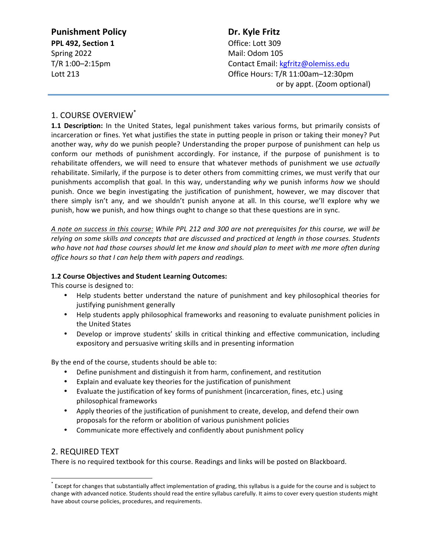| <b>Punishment Policy</b> | Dr. Kyle Fritz                     |
|--------------------------|------------------------------------|
| PPL 492, Section 1       | Office: Lott 309                   |
| Spring 2022              | Mail: Odom 105                     |
| T/R 1:00-2:15pm          | Contact Email: kgfritz@olemiss.edu |
| Lott 213                 | Office Hours: T/R 11:00am-12:30pm  |
|                          | or by appt. (Zoom optional)        |

# 1. COURSE OVERVIEW<sup>\*</sup>

**1.1 Description:** In the United States, legal punishment takes various forms, but primarily consists of incarceration or fines. Yet what justifies the state in putting people in prison or taking their money? Put another way, why do we punish people? Understanding the proper purpose of punishment can help us conform our methods of punishment accordingly. For instance, if the purpose of punishment is to rehabilitate offenders, we will need to ensure that whatever methods of punishment we use *actually* rehabilitate. Similarly, if the purpose is to deter others from committing crimes, we must verify that our punishments accomplish that goal. In this way, understanding why we punish informs how we should punish. Once we begin investigating the justification of punishment, however, we may discover that there simply isn't any, and we shouldn't punish anyone at all. In this course, we'll explore why we punish, how we punish, and how things ought to change so that these questions are in sync.

*A note on success in this course: While PPL 212 and 300 are not prerequisites for this course, we will be*  relying on some skills and concepts that are discussed and practiced at length in those courses. Students who have not had those courses should let me know and should plan to meet with me more often during *office hours so that I can help them with papers and readings.* 

### **1.2 Course Objectives and Student Learning Outcomes:**

This course is designed to:

- Help students better understand the nature of punishment and key philosophical theories for justifying punishment generally
- Help students apply philosophical frameworks and reasoning to evaluate punishment policies in the United States
- Develop or improve students' skills in critical thinking and effective communication, including expository and persuasive writing skills and in presenting information

By the end of the course, students should be able to:

- Define punishment and distinguish it from harm, confinement, and restitution
- Explain and evaluate key theories for the justification of punishment
- Evaluate the justification of key forms of punishment (incarceration, fines, etc.) using philosophical frameworks
- Apply theories of the justification of punishment to create, develop, and defend their own proposals for the reform or abolition of various punishment policies
- Communicate more effectively and confidently about punishment policy

# 2. REQUIRED TEXT

There is no required textbook for this course. Readings and links will be posted on Blackboard.

 $^*$  Except for changes that substantially affect implementation of grading, this syllabus is a guide for the course and is subject to change with advanced notice. Students should read the entire syllabus carefully. It aims to cover every question students might have about course policies, procedures, and requirements.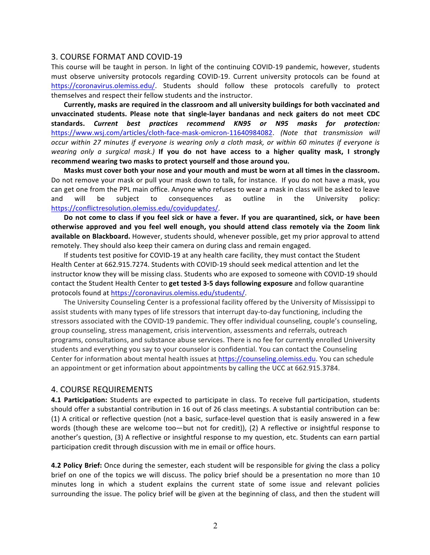#### 3. COURSE FORMAT AND COVID-19

This course will be taught in person. In light of the continuing COVID-19 pandemic, however, students must observe university protocols regarding COVID-19. Current university protocols can be found at https://coronavirus.olemiss.edu/. Students should follow these protocols carefully to protect themselves and respect their fellow students and the instructor.

Currently, masks are required in the classroom and all university buildings for both vaccinated and **unvaccinated students. Please note that single-layer bandanas and neck gaiters do not meet CDC standards.**  *Current best practices recommend KN95 or N95 masks for protection:* https://www.wsj.com/articles/cloth-face-mask-omicron-11640984082. (Note that transmission will *occur* within 27 minutes if everyone is wearing only a cloth mask, or within 60 minutes if everyone is *wearing* only a surgical mask.) If you do not have access to a higher quality mask, I strongly recommend wearing two masks to protect yourself and those around you.

Masks must cover both your nose and your mouth and must be worn at all times in the classroom. Do not remove your mask or pull your mask down to talk, for instance. If you do not have a mask, you can get one from the PPL main office. Anyone who refuses to wear a mask in class will be asked to leave and will be subject to consequences as outline in the University policy: https://conflictresolution.olemiss.edu/covidupdates/. 

Do not come to class if you feel sick or have a fever. If you are quarantined, sick, or have been otherwise approved and you feel well enough, you should attend class remotely via the Zoom link **available on Blackboard.** However, students should, whenever possible, get my prior approval to attend remotely. They should also keep their camera on during class and remain engaged.

If students test positive for COVID-19 at any health care facility, they must contact the Student Health Center at 662.915.7274. Students with COVID-19 should seek medical attention and let the instructor know they will be missing class. Students who are exposed to someone with COVID-19 should contact the Student Health Center to get tested 3-5 days following exposure and follow quarantine protocols found at https://coronavirus.olemiss.edu/students/.

The University Counseling Center is a professional facility offered by the University of Mississippi to assist students with many types of life stressors that interrupt day-to-day functioning, including the stressors associated with the COVID-19 pandemic. They offer individual counseling, couple's counseling, group counseling, stress management, crisis intervention, assessments and referrals, outreach programs, consultations, and substance abuse services. There is no fee for currently enrolled University students and everything you say to your counselor is confidential. You can contact the Counseling Center for information about mental health issues at https://counseling.olemiss.edu. You can schedule an appointment or get information about appointments by calling the UCC at 662.915.3784.

#### **4. COURSE REQUIREMENTS**

**4.1 Participation:** Students are expected to participate in class. To receive full participation, students should offer a substantial contribution in 16 out of 26 class meetings. A substantial contribution can be: (1) A critical or reflective question (not a basic, surface-level question that is easily answered in a few words (though these are welcome too—but not for credit)), (2) A reflective or insightful response to another's question, (3) A reflective or insightful response to my question, etc. Students can earn partial participation credit through discussion with me in email or office hours.

**4.2 Policy Brief:** Once during the semester, each student will be responsible for giving the class a policy brief on one of the topics we will discuss. The policy brief should be a presentation no more than 10 minutes long in which a student explains the current state of some issue and relevant policies surrounding the issue. The policy brief will be given at the beginning of class, and then the student will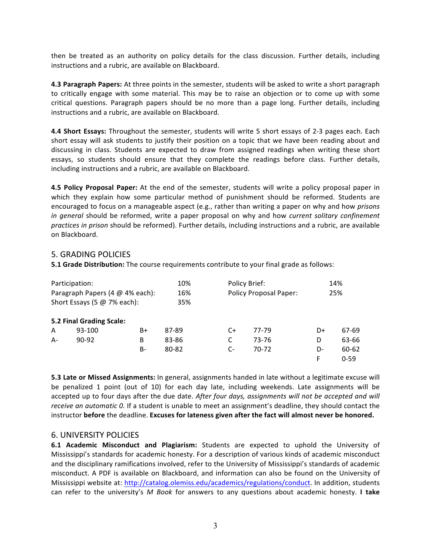then be treated as an authority on policy details for the class discussion. Further details, including instructions and a rubric, are available on Blackboard.

**4.3 Paragraph Papers:** At three points in the semester, students will be asked to write a short paragraph to critically engage with some material. This may be to raise an objection or to come up with some critical questions. Paragraph papers should be no more than a page long. Further details, including instructions and a rubric, are available on Blackboard.

**4.4 Short Essays:** Throughout the semester, students will write 5 short essays of 2-3 pages each. Each short essay will ask students to justify their position on a topic that we have been reading about and discussing in class. Students are expected to draw from assigned readings when writing these short essays, so students should ensure that they complete the readings before class. Further details, including instructions and a rubric, are available on Blackboard.

**4.5 Policy Proposal Paper:** At the end of the semester, students will write a policy proposal paper in which they explain how some particular method of punishment should be reformed. Students are encouraged to focus on a manageable aspect (e.g., rather than writing a paper on why and how *prisons in* general should be reformed, write a paper proposal on why and how *current solitary confinement practices in prison* should be reformed). Further details, including instructions and a rubric, are available on Blackboard.

## **5. GRADING POLICIES**

**5.1 Grade Distribution:** The course requirements contribute to your final grade as follows:

| Participation:<br>Paragraph Papers (4 @ 4% each):<br>Short Essays (5 $@$ 7% each): |                          |    | 10%<br>16%<br>35% | Policy Brief:<br><b>Policy Proposal Paper:</b> | 14%<br>25% |    |          |
|------------------------------------------------------------------------------------|--------------------------|----|-------------------|------------------------------------------------|------------|----|----------|
|                                                                                    | 5.2 Final Grading Scale: |    |                   |                                                |            |    |          |
| A                                                                                  | 93-100                   | B+ | 87-89             | $C+$                                           | 77-79      | D+ | 67-69    |
| A-                                                                                 | $90 - 92$                | B  | 83-86             | C                                              | 73-76      | D  | 63-66    |
|                                                                                    |                          | B- | 80-82             | $C-$                                           | 70-72      | D- | 60-62    |
|                                                                                    |                          |    |                   |                                                |            | F  | $0 - 59$ |

**5.3 Late or Missed Assignments:** In general, assignments handed in late without a legitimate excuse will be penalized 1 point (out of 10) for each day late, including weekends. Late assignments will be accepted up to four days after the due date. After four days, assignments will not be accepted and will *receive an automatic 0.* If a student is unable to meet an assignment's deadline, they should contact the instructor before the deadline. Excuses for lateness given after the fact will almost never be honored.

## 6. UNIVERSITY POLICIES

**6.1 Academic Misconduct and Plagiarism:** Students are expected to uphold the University of Mississippi's standards for academic honesty. For a description of various kinds of academic misconduct and the disciplinary ramifications involved, refer to the University of Mississippi's standards of academic misconduct. A PDF is available on Blackboard, and information can also be found on the University of Mississippi website at: http://catalog.olemiss.edu/academics/regulations/conduct. In addition, students can refer to the university's M Book for answers to any questions about academic honesty. I take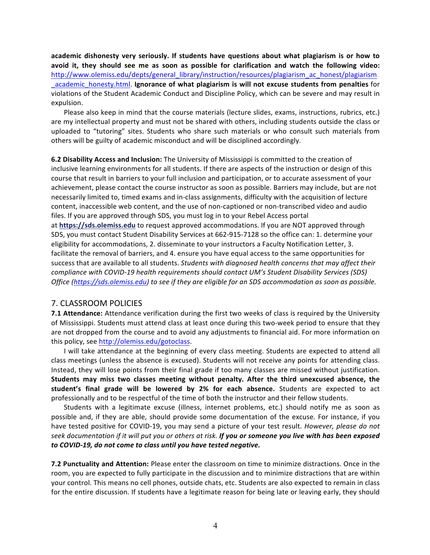academic dishonesty very seriously. If students have questions about what plagiarism is or how to avoid it, they should see me as soon as possible for clarification and watch the following video: http://www.olemiss.edu/depts/general\_library/instruction/resources/plagiarism\_ac\_honest/plagiarism \_academic\_honesty.html. **Ignorance of what plagiarism is will not excuse students from penalties** for violations of the Student Academic Conduct and Discipline Policy, which can be severe and may result in expulsion.

Please also keep in mind that the course materials (lecture slides, exams, instructions, rubrics, etc.) are my intellectual property and must not be shared with others, including students outside the class or uploaded to "tutoring" sites. Students who share such materials or who consult such materials from others will be guilty of academic misconduct and will be disciplined accordingly.

**6.2 Disability Access and Inclusion:** The University of Mississippi is committed to the creation of inclusive learning environments for all students. If there are aspects of the instruction or design of this course that result in barriers to your full inclusion and participation, or to accurate assessment of your achievement, please contact the course instructor as soon as possible. Barriers may include, but are not necessarily limited to, timed exams and in-class assignments, difficulty with the acquisition of lecture content, inaccessible web content, and the use of non-captioned or non-transcribed video and audio files. If you are approved through SDS, you must log in to your Rebel Access portal at https://sds.olemiss.edu to request approved accommodations. If you are NOT approved through SDS, you must contact Student Disability Services at 662-915-7128 so the office can: 1. determine your eligibility for accommodations, 2. disseminate to your instructors a Faculty Notification Letter, 3. facilitate the removal of barriers, and 4. ensure you have equal access to the same opportunities for success that are available to all students. *Students with diagnosed health concerns that may affect their compliance with COVID-19 health requirements should contact UM's Student Disability Services (SDS) Office* (https://sds.olemiss.edu) to see if they are eligible for an SDS accommodation as soon as possible.

## 7. CLASSROOM POLICIES

**7.1 Attendance:** Attendance verification during the first two weeks of class is required by the University of Mississippi. Students must attend class at least once during this two-week period to ensure that they are not dropped from the course and to avoid any adjustments to financial aid. For more information on this policy, see http://olemiss.edu/gotoclass.

I will take attendance at the beginning of every class meeting. Students are expected to attend all class meetings (unless the absence is excused). Students will not receive any points for attending class. Instead, they will lose points from their final grade if too many classes are missed without justification. **Students may miss two classes meeting without penalty. After the third unexcused absence, the**  student's final grade will be lowered by 2% for each absence. Students are expected to act professionally and to be respectful of the time of both the instructor and their fellow students.

Students with a legitimate excuse (illness, internet problems, etc.) should notify me as soon as possible and, if they are able, should provide some documentation of the excuse. For instance, if you have tested positive for COVID-19, you may send a picture of your test result. *However, please do not* seek documentation if it will put you or others at risk. If you or someone you live with has been exposed *to COVID-19, do not come to class until you have tested negative.*

**7.2 Punctuality and Attention:** Please enter the classroom on time to minimize distractions. Once in the room, you are expected to fully participate in the discussion and to minimize distractions that are within your control. This means no cell phones, outside chats, etc. Students are also expected to remain in class for the entire discussion. If students have a legitimate reason for being late or leaving early, they should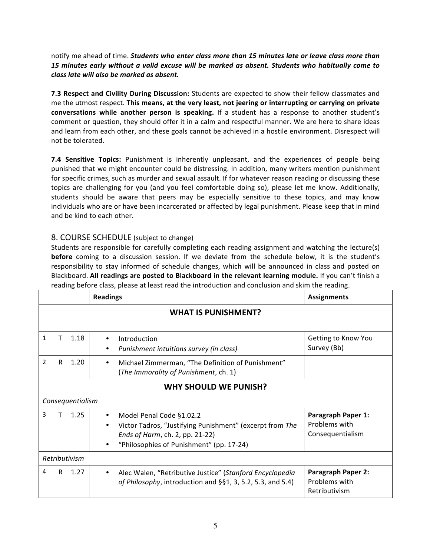notify me ahead of time. **Students who enter class more than 15 minutes late or leave class more than** 15 minutes early without a valid excuse will be marked as absent. Students who habitually come to *class late will also be marked as absent.* 

**7.3 Respect and Civility During Discussion:** Students are expected to show their fellow classmates and me the utmost respect. This means, at the very least, not jeering or interrupting or carrying on private **conversations while another person is speaking.** If a student has a response to another student's comment or question, they should offer it in a calm and respectful manner. We are here to share ideas and learn from each other, and these goals cannot be achieved in a hostile environment. Disrespect will not be tolerated.

**7.4 Sensitive Topics:** Punishment is inherently unpleasant, and the experiences of people being punished that we might encounter could be distressing. In addition, many writers mention punishment for specific crimes, such as murder and sexual assault. If for whatever reason reading or discussing these topics are challenging for you (and you feel comfortable doing so), please let me know. Additionally, students should be aware that peers may be especially sensitive to these topics, and may know individuals who are or have been incarcerated or affected by legal punishment. Please keep that in mind and be kind to each other.

# 8. COURSE SCHEDULE (subject to change)

Students are responsible for carefully completing each reading assignment and watching the lecture(s) **before** coming to a discussion session. If we deviate from the schedule below, it is the student's responsibility to stay informed of schedule changes, which will be announced in class and posted on Blackboard. All readings are posted to Blackboard in the relevant learning module. If you can't finish a reading before class, please at least read the introduction and conclusion and skim the reading.

|                            |                              | <b>Assignments</b>                                                    |                     |  |  |  |
|----------------------------|------------------------------|-----------------------------------------------------------------------|---------------------|--|--|--|
| <b>WHAT IS PUNISHMENT?</b> |                              |                                                                       |                     |  |  |  |
|                            |                              |                                                                       |                     |  |  |  |
| 1                          | Τ<br>1.18                    | Introduction<br>$\bullet$                                             | Getting to Know You |  |  |  |
|                            |                              | Punishment intuitions survey (in class)                               | Survey (Bb)         |  |  |  |
| $\overline{2}$             | 1.20<br>R.                   | Michael Zimmerman, "The Definition of Punishment"<br>$\bullet$        |                     |  |  |  |
|                            |                              | (The Immorality of Punishment, ch. 1)                                 |                     |  |  |  |
|                            | <b>WHY SHOULD WE PUNISH?</b> |                                                                       |                     |  |  |  |
|                            | Consequentialism             |                                                                       |                     |  |  |  |
| 3                          | 1.25                         | Model Penal Code §1.02.2                                              | Paragraph Paper 1:  |  |  |  |
|                            |                              | Victor Tadros, "Justifying Punishment" (excerpt from The<br>$\bullet$ | Problems with       |  |  |  |
|                            |                              | Ends of Harm, ch. 2, pp. 21-22)                                       | Consequentialism    |  |  |  |
|                            |                              | "Philosophies of Punishment" (pp. 17-24)<br>٠                         |                     |  |  |  |
| Retributivism              |                              |                                                                       |                     |  |  |  |
| 4                          | R.<br>1.27                   | Alec Walen, "Retributive Justice" (Stanford Encyclopedia<br>٠         | Paragraph Paper 2:  |  |  |  |
|                            |                              | of Philosophy, introduction and §§1, 3, 5.2, 5.3, and 5.4)            | Problems with       |  |  |  |
|                            |                              |                                                                       | Retributivism       |  |  |  |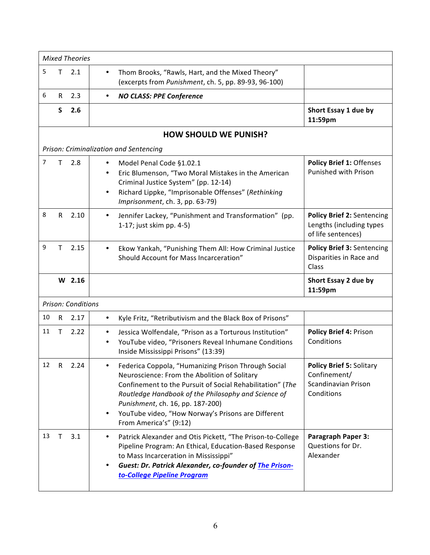| <b>Mixed Theories</b> |              |                    |                                                                                                                                                                                                                                                                                                                                                          |                                                                                     |  |
|-----------------------|--------------|--------------------|----------------------------------------------------------------------------------------------------------------------------------------------------------------------------------------------------------------------------------------------------------------------------------------------------------------------------------------------------------|-------------------------------------------------------------------------------------|--|
| 5                     | Τ            | 2.1                | Thom Brooks, "Rawls, Hart, and the Mixed Theory"<br>$\bullet$<br>(excerpts from Punishment, ch. 5, pp. 89-93, 96-100)                                                                                                                                                                                                                                    |                                                                                     |  |
| 6                     | R            | 2.3                | <b>NO CLASS: PPE Conference</b><br>$\bullet$                                                                                                                                                                                                                                                                                                             |                                                                                     |  |
|                       | S            | 2.6                |                                                                                                                                                                                                                                                                                                                                                          | Short Essay 1 due by<br>11:59pm                                                     |  |
|                       |              |                    | <b>HOW SHOULD WE PUNISH?</b>                                                                                                                                                                                                                                                                                                                             |                                                                                     |  |
|                       |              |                    | Prison: Criminalization and Sentencing                                                                                                                                                                                                                                                                                                                   |                                                                                     |  |
| 7                     | т            | 2.8                | Model Penal Code §1.02.1<br>Eric Blumenson, "Two Moral Mistakes in the American<br>Criminal Justice System" (pp. 12-14)<br>Richard Lippke, "Imprisonable Offenses" (Rethinking<br>Imprisonment, ch. 3, pp. 63-79)                                                                                                                                        | Policy Brief 1: Offenses<br>Punished with Prison                                    |  |
| 8                     | R            | 2.10               | Jennifer Lackey, "Punishment and Transformation" (pp.<br>$\bullet$<br>1-17; just skim pp. 4-5)                                                                                                                                                                                                                                                           | <b>Policy Brief 2: Sentencing</b><br>Lengths (including types<br>of life sentences) |  |
| 9                     | т            | 2.15               | Ekow Yankah, "Punishing Them All: How Criminal Justice<br>$\bullet$<br>Should Account for Mass Incarceration"                                                                                                                                                                                                                                            | Policy Brief 3: Sentencing<br>Disparities in Race and<br>Class                      |  |
|                       |              | $W$ 2.16           |                                                                                                                                                                                                                                                                                                                                                          | Short Essay 2 due by<br>11:59pm                                                     |  |
|                       |              | Prison: Conditions |                                                                                                                                                                                                                                                                                                                                                          |                                                                                     |  |
| 10                    | $\mathsf{R}$ | 2.17               | Kyle Fritz, "Retributivism and the Black Box of Prisons"<br>$\bullet$                                                                                                                                                                                                                                                                                    |                                                                                     |  |
| 11                    | Τ            | 2.22               | Jessica Wolfendale, "Prison as a Torturous Institution"<br>$\bullet$<br>YouTube video, "Prisoners Reveal Inhumane Conditions<br>Inside Mississippi Prisons" (13:39)                                                                                                                                                                                      | Policy Brief 4: Prison<br>Conditions                                                |  |
| 12                    | R            | 2.24               | Federica Coppola, "Humanizing Prison Through Social<br>Neuroscience: From the Abolition of Solitary<br>Confinement to the Pursuit of Social Rehabilitation" (The<br>Routledge Handbook of the Philosophy and Science of<br>Punishment, ch. 16, pp. 187-200)<br>YouTube video, "How Norway's Prisons are Different<br>$\bullet$<br>From America's" (9:12) | Policy Brief 5: Solitary<br>Confinement/<br>Scandinavian Prison<br>Conditions       |  |
| 13                    | т            | 3.1                | Patrick Alexander and Otis Pickett, "The Prison-to-College<br>$\bullet$<br>Pipeline Program: An Ethical, Education-Based Response<br>to Mass Incarceration in Mississippi"<br>Guest: Dr. Patrick Alexander, co-founder of The Prison-<br>$\bullet$<br>to-College Pipeline Program                                                                        | <b>Paragraph Paper 3:</b><br>Questions for Dr.<br>Alexander                         |  |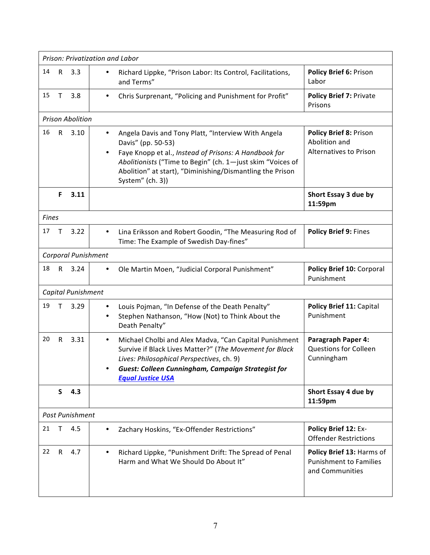| Prison: Privatization and Labor |              |                         |                                                                                                                                                                                                                                                                                                             |                                                                               |
|---------------------------------|--------------|-------------------------|-------------------------------------------------------------------------------------------------------------------------------------------------------------------------------------------------------------------------------------------------------------------------------------------------------------|-------------------------------------------------------------------------------|
| 14                              | R            | 3.3                     | Richard Lippke, "Prison Labor: Its Control, Facilitations,<br>٠<br>and Terms"                                                                                                                                                                                                                               | Policy Brief 6: Prison<br>Labor                                               |
| 15                              | Т            | 3.8                     | Chris Surprenant, "Policing and Punishment for Profit"<br>$\bullet$                                                                                                                                                                                                                                         | <b>Policy Brief 7: Private</b><br>Prisons                                     |
|                                 |              | <b>Prison Abolition</b> |                                                                                                                                                                                                                                                                                                             |                                                                               |
| 16                              | R            | 3.10                    | Angela Davis and Tony Platt, "Interview With Angela<br>$\bullet$<br>Davis" (pp. 50-53)<br>Faye Knopp et al., Instead of Prisons: A Handbook for<br>$\bullet$<br>Abolitionists ("Time to Begin" (ch. 1-just skim "Voices of<br>Abolition" at start), "Diminishing/Dismantling the Prison<br>System" (ch. 3)) | Policy Brief 8: Prison<br>Abolition and<br>Alternatives to Prison             |
|                                 | F.           | 3.11                    |                                                                                                                                                                                                                                                                                                             | Short Essay 3 due by<br>11:59pm                                               |
| <b>Fines</b>                    |              |                         |                                                                                                                                                                                                                                                                                                             |                                                                               |
| 17                              | т            | 3.22                    | Lina Eriksson and Robert Goodin, "The Measuring Rod of<br>$\bullet$<br>Time: The Example of Swedish Day-fines"                                                                                                                                                                                              | Policy Brief 9: Fines                                                         |
|                                 |              | Corporal Punishment     |                                                                                                                                                                                                                                                                                                             |                                                                               |
| 18                              | $\mathsf{R}$ | 3.24                    | Ole Martin Moen, "Judicial Corporal Punishment"                                                                                                                                                                                                                                                             | Policy Brief 10: Corporal<br>Punishment                                       |
|                                 |              | Capital Punishment      |                                                                                                                                                                                                                                                                                                             |                                                                               |
| 19                              | т            | 3.29                    | Louis Pojman, "In Defense of the Death Penalty"<br>٠<br>Stephen Nathanson, "How (Not) to Think About the<br>Death Penalty"                                                                                                                                                                                  | Policy Brief 11: Capital<br>Punishment                                        |
| 20                              | $\mathsf R$  | 3.31                    | Michael Cholbi and Alex Madva, "Can Capital Punishment<br>$\bullet$<br>Survive if Black Lives Matter?" (The Movement for Black<br>Lives: Philosophical Perspectives, ch. 9)<br><b>Guest: Colleen Cunningham, Campaign Strategist for</b><br><b>Equal Justice USA</b>                                        | Paragraph Paper 4:<br><b>Questions for Colleen</b><br>Cunningham              |
|                                 | S.           | 4.3                     |                                                                                                                                                                                                                                                                                                             | Short Essay 4 due by<br>11:59pm                                               |
| Post Punishment                 |              |                         |                                                                                                                                                                                                                                                                                                             |                                                                               |
| 21                              | т            | 4.5                     | Zachary Hoskins, "Ex-Offender Restrictions"<br>$\bullet$                                                                                                                                                                                                                                                    | Policy Brief 12: Ex-<br><b>Offender Restrictions</b>                          |
| 22                              | $\mathsf{R}$ | 4.7                     | Richard Lippke, "Punishment Drift: The Spread of Penal<br>$\bullet$<br>Harm and What We Should Do About It"                                                                                                                                                                                                 | Policy Brief 13: Harms of<br><b>Punishment to Families</b><br>and Communities |